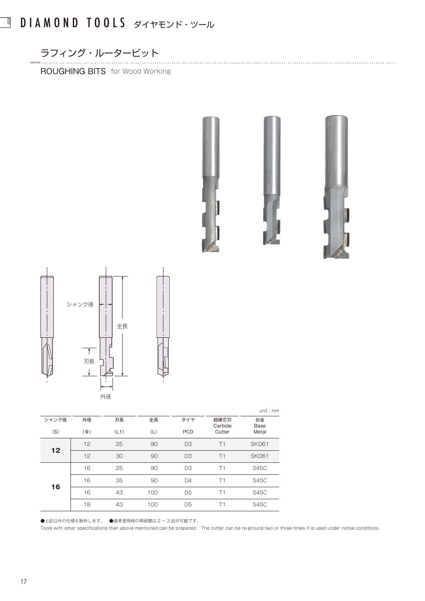## DIAMOND TOOLS ダイヤモンド・ツール

ラフィング・ルータービット

 $\Box$ 

ROUGHING BITS for Wood Working







|       |          |      |     |                |                 | unit: mm    |
|-------|----------|------|-----|----------------|-----------------|-------------|
| シャンク径 | 外径       | 刃長   | 全長  | ダイヤ            | 超硬芯刃<br>Carbide | 台金<br>Base  |
| (S)   | $(\Phi)$ | (L1) | (L) | <b>PCD</b>     | Cutter          | Metal       |
| 12    | 12       | 25   | 90  | D <sub>3</sub> | T1              | SKD61       |
|       | 12       | 30   | 90  | D <sub>3</sub> | T1              | SKD61       |
| 16    | 16       | 25   | 90  | D <sub>3</sub> | T1              | <b>S45C</b> |
|       | 16       | 35   | 90  | D <sub>4</sub> | T1              | <b>S45C</b> |
|       | 16       | 43   | 100 | D <sub>5</sub> | T1              | <b>S45C</b> |
|       | 18       | 43   | 100 | D <sub>5</sub> | Τ1              | <b>S45C</b> |

●上記以外の仕様も制作します。 ●通常使用時の再研磨は2~3回が可能です。

Tools with other specifications than above mentioned can be prepared. The cutter can be re-ground two or three times if is used under nomal conditions.